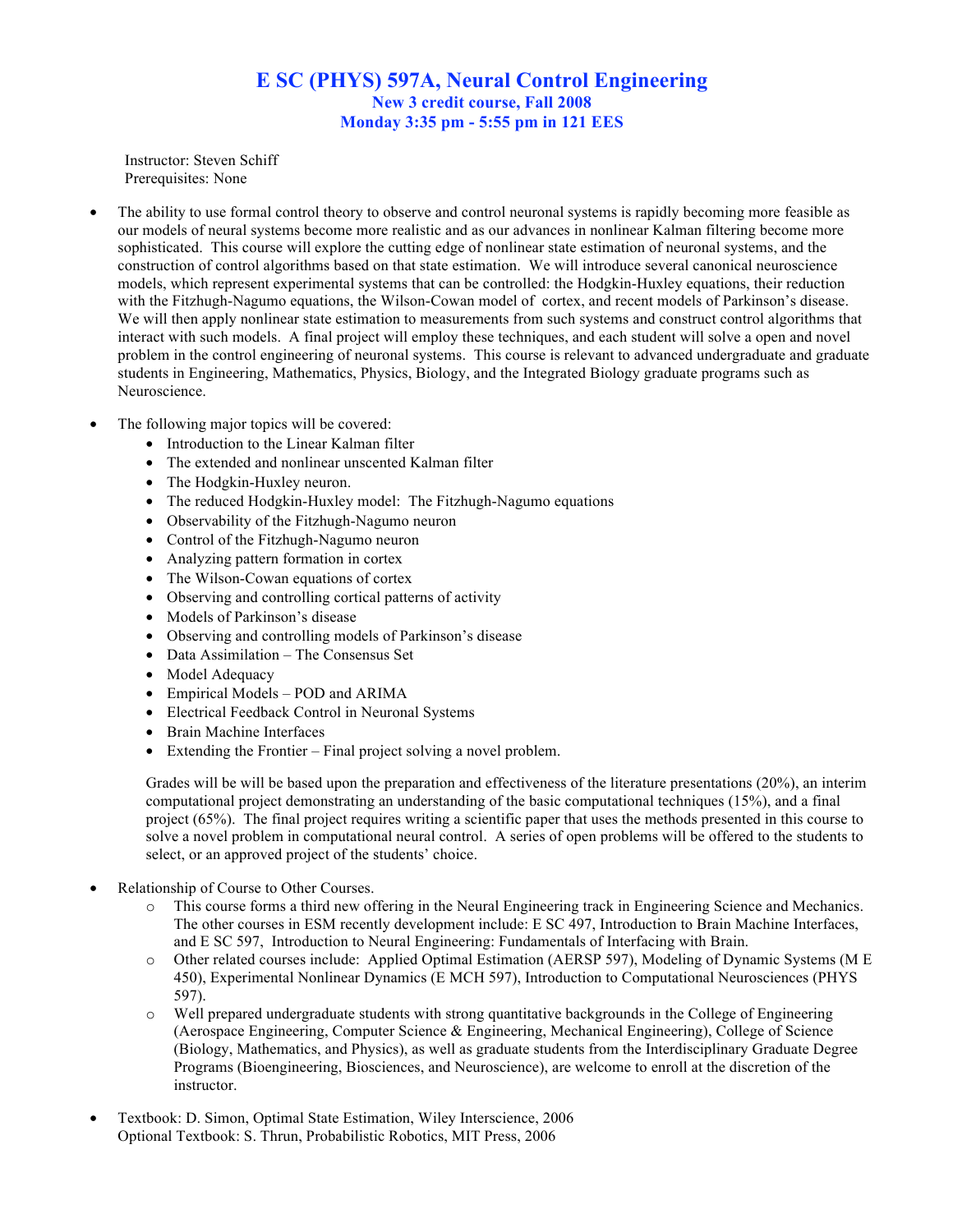## **E SC (PHYS) 597A, Neural Control Engineering New 3 credit course, Fall 2008 Monday 3:35 pm - 5:55 pm in 121 EES**

Instructor: Steven Schiff Prerequisites: None

- The ability to use formal control theory to observe and control neuronal systems is rapidly becoming more feasible as our models of neural systems become more realistic and as our advances in nonlinear Kalman filtering become more sophisticated. This course will explore the cutting edge of nonlinear state estimation of neuronal systems, and the construction of control algorithms based on that state estimation. We will introduce several canonical neuroscience models, which represent experimental systems that can be controlled: the Hodgkin-Huxley equations, their reduction with the Fitzhugh-Nagumo equations, the Wilson-Cowan model of cortex, and recent models of Parkinson's disease. We will then apply nonlinear state estimation to measurements from such systems and construct control algorithms that interact with such models. A final project will employ these techniques, and each student will solve a open and novel problem in the control engineering of neuronal systems. This course is relevant to advanced undergraduate and graduate students in Engineering, Mathematics, Physics, Biology, and the Integrated Biology graduate programs such as Neuroscience.
- The following major topics will be covered:
	- Introduction to the Linear Kalman filter
	- The extended and nonlinear unscented Kalman filter
	- The Hodgkin-Huxley neuron.
	- The reduced Hodgkin-Huxley model: The Fitzhugh-Nagumo equations
	- Observability of the Fitzhugh-Nagumo neuron
	- Control of the Fitzhugh-Nagumo neuron
	- Analyzing pattern formation in cortex
	- The Wilson-Cowan equations of cortex
	- Observing and controlling cortical patterns of activity
	- Models of Parkinson's disease
	- Observing and controlling models of Parkinson's disease
	- Data Assimilation The Consensus Set
	- Model Adequacy
	- Empirical Models POD and ARIMA
	- Electrical Feedback Control in Neuronal Systems
	- Brain Machine Interfaces
	- Extending the Frontier Final project solving a novel problem.

Grades will be will be based upon the preparation and effectiveness of the literature presentations (20%), an interim computational project demonstrating an understanding of the basic computational techniques (15%), and a final project (65%). The final project requires writing a scientific paper that uses the methods presented in this course to solve a novel problem in computational neural control. A series of open problems will be offered to the students to select, or an approved project of the students' choice.

- Relationship of Course to Other Courses.
	- o This course forms a third new offering in the Neural Engineering track in Engineering Science and Mechanics. The other courses in ESM recently development include: E SC 497, Introduction to Brain Machine Interfaces, and E SC 597, Introduction to Neural Engineering: Fundamentals of Interfacing with Brain.
	- o Other related courses include: Applied Optimal Estimation (AERSP 597), Modeling of Dynamic Systems (M E 450), Experimental Nonlinear Dynamics (E MCH 597), Introduction to Computational Neurosciences (PHYS 597).
	- o Well prepared undergraduate students with strong quantitative backgrounds in the College of Engineering (Aerospace Engineering, Computer Science & Engineering, Mechanical Engineering), College of Science (Biology, Mathematics, and Physics), as well as graduate students from the Interdisciplinary Graduate Degree Programs (Bioengineering, Biosciences, and Neuroscience), are welcome to enroll at the discretion of the instructor.
- Textbook: D. Simon, Optimal State Estimation, Wiley Interscience, 2006 Optional Textbook: S. Thrun, Probabilistic Robotics, MIT Press, 2006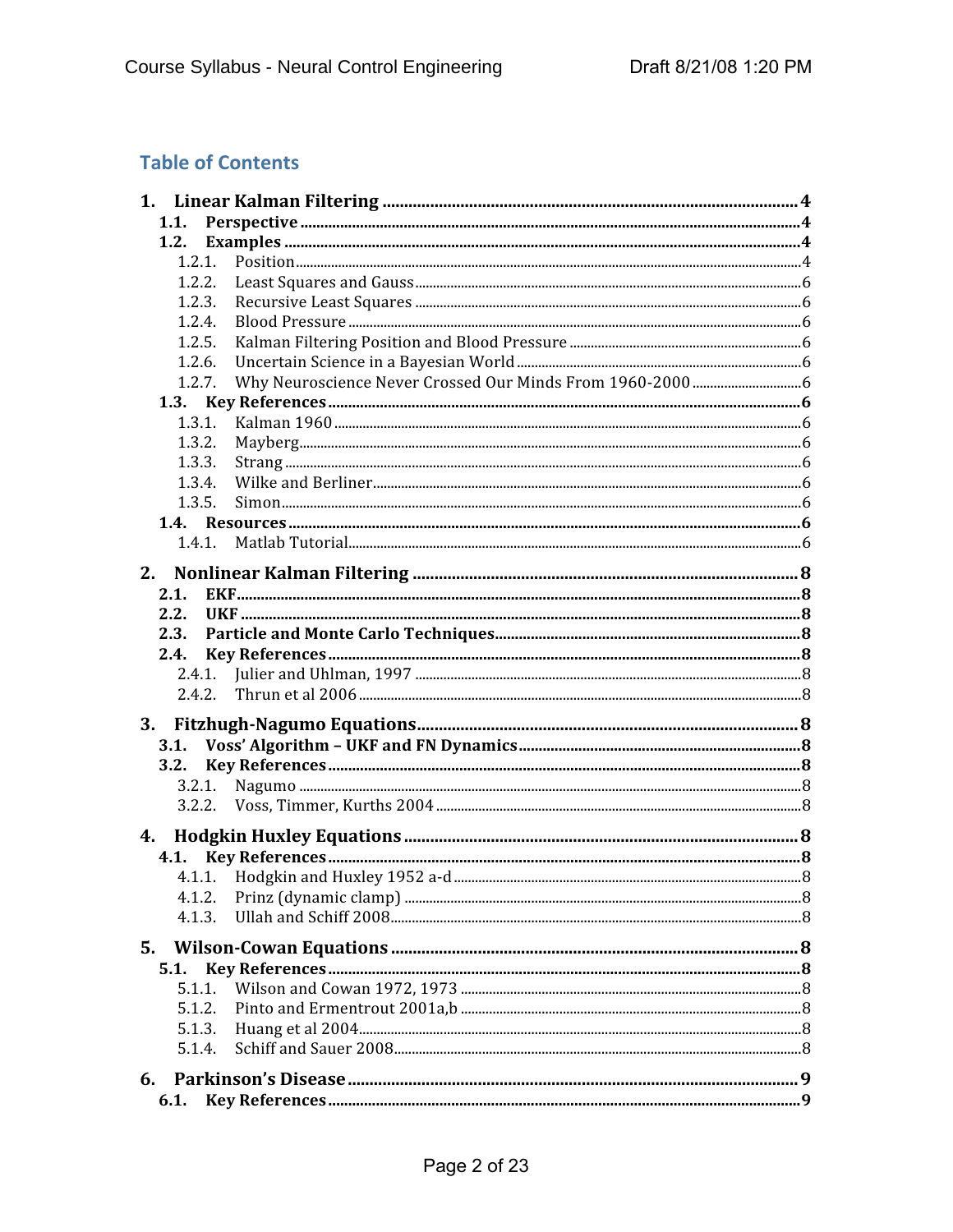## **Table of Contents**

| 1.1.   |  |  |
|--------|--|--|
| 1.2.   |  |  |
|        |  |  |
| 1.2.2. |  |  |
| 1.2.3. |  |  |
| 1.2.4. |  |  |
| 1.2.5. |  |  |
| 1.2.6. |  |  |
| 1.2.7. |  |  |
|        |  |  |
| 1.3.1. |  |  |
| 1.3.2. |  |  |
| 1.3.3. |  |  |
| 1.3.4. |  |  |
| 1.3.5. |  |  |
|        |  |  |
| 1.4.1. |  |  |
|        |  |  |
| 2.1.   |  |  |
| 2.2.   |  |  |
| 2.3.   |  |  |
| 2.4.   |  |  |
| 2.4.1. |  |  |
| 2.4.2. |  |  |
| 3.     |  |  |
| 3.1.   |  |  |
| 3.2.   |  |  |
|        |  |  |
| 3.2.2. |  |  |
|        |  |  |
|        |  |  |
| 4.1    |  |  |
|        |  |  |
| 4.1.2. |  |  |
| 4.1.3. |  |  |
| 5.     |  |  |
| 5.1.   |  |  |
| 5.1.1. |  |  |
| 5.1.2. |  |  |
| 5.1.3. |  |  |
| 5.1.4. |  |  |
|        |  |  |
|        |  |  |
| 6.1.   |  |  |